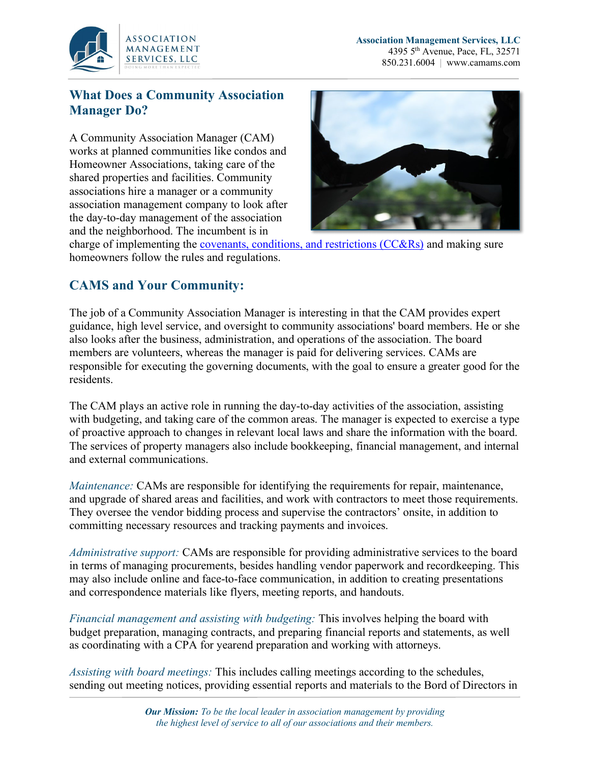

## **What Does a Community Association Manager Do?**

A Community Association Manager (CAM) works at planned communities like condos and Homeowner Associations, taking care of the shared properties and facilities. Community associations hire a manager or a community association management company to look after the day-to-day management of the association and the neighborhood. The incumbent is in



charge of implementing the covenants, conditions, and [restrictions](https://www.nolo.com/legal-encyclopedia/what-are-convenants-conditions-restrictions-ccrs-hoas.html) (CC&Rs) and making sure homeowners follow the rules and regulations.

## **CAMS and Your Community:**

The job of a Community Association Manager is interesting in that the CAM provides expert guidance, high level service, and oversight to community associations' board members. He or she also looks after the business, administration, and operations of the association. The board members are volunteers, whereas the manager is paid for delivering services. CAMs are responsible for executing the governing documents, with the goal to ensure a greater good for the residents.

The CAM plays an active role in running the day-to-day activities of the association, assisting with budgeting, and taking care of the common areas. The manager is expected to exercise a type of proactive approach to changes in relevant local laws and share the information with the board. The services of property managers also include bookkeeping, financial management, and internal and external communications.

*Maintenance:* CAMs are responsible for identifying the requirements for repair, maintenance, and upgrade of shared areas and facilities, and work with contractors to meet those requirements. They oversee the vendor bidding process and supervise the contractors' onsite, in addition to committing necessary resources and tracking payments and invoices.

*Administrative support:* CAMs are responsible for providing administrative services to the board in terms of managing procurements, besides handling vendor paperwork and recordkeeping. This may also include online and face-to-face communication, in addition to creating presentations and correspondence materials like flyers, meeting reports, and handouts.

*Financial management and assisting with budgeting:* This involves helping the board with budget preparation, managing contracts, and preparing financial reports and statements, as well as coordinating with a CPA for yearend preparation and working with attorneys.

*Assisting with board meetings:* This includes calling meetings according to the schedules, sending out meeting notices, providing essential reports and materials to the Bord of Directors in